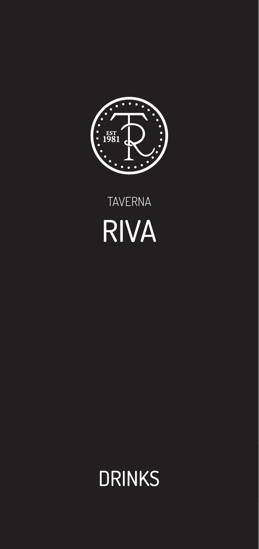

# TAVERNA RIVA

# DRINKS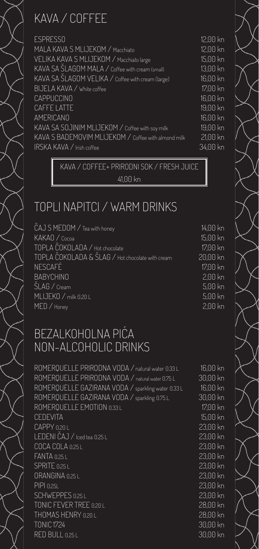## KAVA / COFFEE

ESPRESSO 12,00 kn MALA KAVA S MLIJEKOM / Macchiato 12,00 kn VELIKA KAVA S MLIJEKOM / Macchiato large 15,00 kn KAVA SA ŠLAGOM MALA / Coffee with cream (small) 13,00 kn KAVA SA ŠLAGOM VELIKA / Coffee with cream (large) 16,00 kn BIJELA KAVA / white coffee 17,00 kn CAPPUCCINO **16,00 kn** CAFFE LATTE 19,00 kn AMERICANO 16,00 kn KAVA SA SOJINIM MLIJEKOM / Coffee with soy milk 19,00 kn KAVA S BADEMOVIM MLIJEKOM / Coffee with almond milk 21,00 kn IRSKA KAVA / Irish coffee 34,00 kn

> KAVA / COFFEE+ PRIRODNI SOK / FRESH JUICE 41,00 kn

### TOPLI NAPITCI / WARM DRINKS

 $\widetilde{C}$ AJ S MEDOM / Tea with honey  $14,00$  kn KAKAO / Cocoa 15,00 kn TOPLA ČOKOLADA / Hot chocolate 17,00 kn TOPLA ČOKOLADA & ŠLAG / Hot chocolate with cream 20,00 kn NESCAFÉ 17,00 kn BABYCHINO 2,00 kn ŠLAG / Cream 5,00 kn MLIJEKO / milk 0.20 L 5,00 kn MED / Honey 2,00 kn

#### BEZALKOHOLNA PIĆA NON-ALCOHOLIC DRINKS

ROMERQUELLE PRIRODNA VODA / natural water 0.33 L 16,00 kn ROMERQUELLE PRIRODNA VODA / natural water 0.75 L 30,00 kn ROMERQUELLE GAZIRANA VODA / sparkling water 0.33 L 16,00 kn ROMERQUELLE GAZIRANA VODA / sparkling 0.75 L 30,00 kn ROMERQUELLE EMOTION 0.33 L 17,00 kn CEDEVITA 15,00 kn CAPPY 0.20 L 23,00 kn LEDENI ČAJ / Iced tea 0.25 L 23,00 kn COCA COLA 0.25 L 23,00 kn FANTA 0.25 L 23,00 kn SPRITE 0.25 L 23,00 kn ORANGINA 0.25 L 23,00 kn PIPI 0.25L 23,00 kn SCHWEPPES 0.25 L 23,00 kn TONIC FEVER TREE 0.20 L 28,00 kn THOMAS HENRY 0.20 L 28,00 kn TONIC 1724 30,00 kn RED BULL 0.25 L 30,00 kn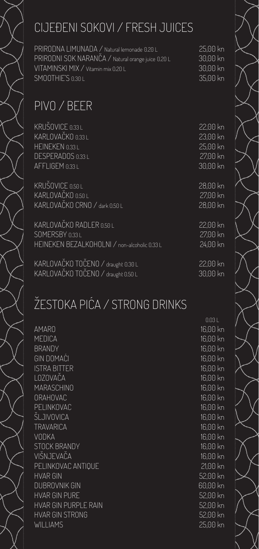PRIRODNA LIMUNADA / Natural lemonade 0.20 L 25,00 kn PRIRODNI SOK NARANČA / Natural orange juice 0.20 L 30,00 kn VITAMINSKI MIX / Vitamin mix 0.20 L 30,00 kn SMOOTHIE'S 0.30 L 35,00 kn

# PIVO / BEER

| KRUŠOVICE 0.33L                              | 22.00 kn |
|----------------------------------------------|----------|
| KARLOVAČKO 0.33 L                            | 23.00 kn |
| HEINEKEN 0.33L                               | 25,00 kn |
| DESPERADOS 0.33L                             | 27.00 kn |
| AFFLIGEM 0.33L                               | 30,00 kn |
| KRUŠOVICE 0.50 L                             | 28.00 kn |
| KARLOVAČKO 0.50 L                            | 27,00 kn |
| KARLOVAČKO CRNO / dark 0.50 L                | 28,00 kn |
| KARLOVAČKO RADLER 0.50 L                     | 22,00 kn |
| SOMERSBY 0.33L                               | 27,00 kn |
| HEINEKEN BEZALKOHOLNI / non-alcoholic 0.33 L | 24.00 kn |
| KARLOVAČKO TOČENO / draught 0.30 L           | 22.00 kn |
| KARLOVAČKO TOČENO / draught 0.50 L           | 30,00 kn |

# ŽESTOKA PIĆA / STRONG DRINKS

AMARO 16,00 kn MEDICA 16,00 kn BRANDY 16,00 kn GIN DOMAĆI 16,00 kn ISTRA BITTER 16,00 kn LOZOVAČA 16,00 kn MARASCHINO 16,00 kn ORAHOVAC 16,00 kn PELINKOVAC 16,00 kn ŠLJIVOVICA 16,00 kn TRAVARICA 16,00 kn VODKA 16,00 kn STOCK BRANDY **16,00 kn** VIŠNJEVAČA 16,00 kn PELINKOVAC ANTIQUE 21,00 kn HVAR GIN 52,00 kn DUBROVNIK GIN NAME OF THE STATE OF THE GOLD CONTROL OF THE GOLD CONTROL OF THE GOLD CONTROL OF THE GOLD CONTROL OF THE GOLD CONTROL OF THE GOLD CONTROL OF THE GOLD CONTROL OF THE GOLD CONTROL OF THE GOLD CONTROL OF THE GOL HVAR GIN PURE 52,00 kn HVAR GIN PURPLE RAIN 52,00 kn HVAR GIN STRONG 52,00 kn WILLIAMS 25,00 kn

de la construcción de la construcción de la construcción de la construcción de la construcción de la construcc<br>Del construcción de la construcción de la construcción de la construcción de la construcción de la construcció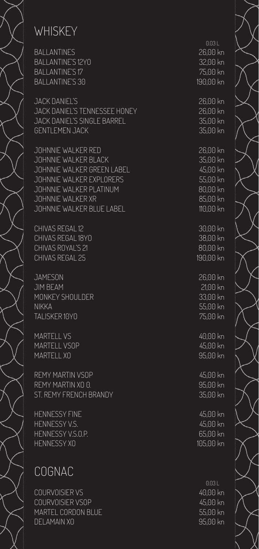# **WHISKEY**

 0.03 L BALLANTINES 26,00 km BALLANTINE'S 12YO BALLANTINE'S 17 75,00 km BALLANTINE'S 30 190,00 km

JACK DANIEL'S 26,00 kn JACK DANIEL'S TENNESSEE HONEY 26,00 kn JACK DANIEL'S SINGLE BARREL 35,00 km GENTLEMEN JACK 35,00 km

JOHNNIE WALKER RED 26,00 kn JOHNNIE WALKER BLACK 35,00 kn JOHNNIE WALKER GREEN LABEL 45,00 kn JOHNNIE WALKER EXPLORERS 55,00 kn JOHNNIE WALKER PLATINUM NEWSLAETH ROLOO KN JOHNNIE WALKER XR 85,00 kn JOHNNIE WALKER BLUE LABEL 110,00 km

CHIVAS REGAL 12 30,00 km CHIVAS REGAL 18YO 38,00 km CHIVAS ROYAL'S 21 80,00 knows and a series of the series of the series of the series of the series of the series of the series of the series of the series of the series of the series of the series of the series of the seri CHIVAS REGAL 25 190,00 km

JAMESON 26,00 kn JIM BEAM 21,00 kn MONKEY SHOULDER 33,00 km NIKKA 55,00 kn TALISKER 10YO 75,00 kn

MARTELL VS AND A SERIES AND A SERIES AND A SERIES AND A SERIES AND A SERIES AND A SERIES AND A SERIES AND A SE MARTELL VSOP **45,00** MARTELL XO 85,00 km

REMY MARTIN VSOP 45,00 REMY MARTIN XO 0. 95,00 km ST. REMY FRENCH BRANDY 35,00 km

HENNESSY FINE 45,00 kn HENNESSY V.S. 45,00 kn HENNESSY V.S.O.P. 65,00 kn HENNESSY XO 105,00 kn

### COGNAC

 0.03 L COURVOISIER VS 40,00 kn COURVOISIER VSOP 45,00 km MARTEL CORDON BLUE 55,00 km DELAMAIN XO 95,00 kn

| $\langle \cap$                    |  |
|-----------------------------------|--|
| $\overline{\hat{S}}$              |  |
| $\overline{\hat{\mathsf{m}}}$     |  |
| $\overline{\hat{S}}$              |  |
|                                   |  |
|                                   |  |
| $\langle \cap$                    |  |
| $\overline{\hat{\mathsf{m}}}$     |  |
| $\overline{\hat{\mathsf{m}}}$     |  |
|                                   |  |
| $\overline{\hat{\mathsf{m}}}$     |  |
|                                   |  |
| $\langle \cap$                    |  |
|                                   |  |
| $\overline{\hat{\mathsf{m}}}$     |  |
| $\overline{\hat{S}}$              |  |
| $\overline{\hat{\mathsf{m}}}$     |  |
|                                   |  |
|                                   |  |
| $\overline{\hat{\mathsf{m}}}$     |  |
| $\overline{\hat{S}}$              |  |
|                                   |  |
|                                   |  |
|                                   |  |
| $\overline{\hat{\mathsf{n}}}$     |  |
| $\overline{\hat{\mathsf{n}}}$     |  |
|                                   |  |
|                                   |  |
|                                   |  |
|                                   |  |
| $\overline{\hat{S}}$              |  |
|                                   |  |
| $\langle \cap$                    |  |
|                                   |  |
| $\overline{\widehat{\mathsf{m}}}$ |  |
| $\overline{\hat{\mathsf{n}}}$     |  |
|                                   |  |
| $\langle \cap$                    |  |
|                                   |  |
| $\overline{\hat{\mathsf{m}}}$     |  |
|                                   |  |
|                                   |  |
| $\langle \cap$                    |  |
|                                   |  |
| $\overline{\hat{\mathsf{m}}}$     |  |
|                                   |  |
|                                   |  |
| $\langle \cap$                    |  |
|                                   |  |
| $\overline{\hat{\mathsf{m}}}$     |  |
|                                   |  |
| $\langle \cap$                    |  |
|                                   |  |
|                                   |  |
|                                   |  |
|                                   |  |
|                                   |  |
| $\langle \cap$                    |  |
|                                   |  |
| $\overline{\hat{\mathsf{m}}}$     |  |
| $\overline{\hat{\mathsf{m}}}$     |  |
|                                   |  |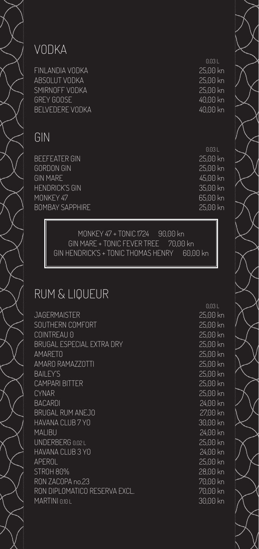#### VODKA

FINLANDIA VODKA 25,00 kn ABSOLUT VODKA 25,00 kn SMIRNOFF VODKA 25,00 kn GREY GOOSE And the state of the state of the state of the 40,00 kn BELVEDERE VODKA 1999 – 1999 – 1999 – 1999 – 1999 – 1999 – 1999 – 1999 – 1999 – 1999 – 1999 – 1999 – 1999 – 19

#### GIN

BEEFEATER GIN 25,00 kn GORDON GIN 25,00 kn GIN MARE 45,00 kn HENDRICK'S GIN 35,00 kn MONKEY 47 65,00 kn BOMBAY SAPPHIRE 25,00 kn

0.03 L

0.03 L

MONKEY 47 + TONIC 1724 90,00 kn GIN MARE + TONIC FEVER TREE 70,00 kn GIN HENDRICK'S + TONIC THOMAS HENRY 60,00 kn

#### RUM & LIQUEUR

JAGERMAISTER 25,00 kn SOUTHERN COMFORT 25,00 kn COINTREAU 0 25,00 kn BRUGAL ESPECIAL EXTRA DRY 25,00 kn AMARETO 25,00 kn AMARO RAMAZZOTTI 25,00 kn BAILEY'S 25,00 kn CAMPARI BITTER 25,00 kn CYNAR 25,00 kn BACARDI 24,00 kn BRUGAL RUM ANEJO 27,00 kn HAVANA CLUB 7 YO 30,00 kn MALIBU 24,00 kn UNDERBERG 0.02 L 25,00 kn HAVANA CLUB 3 YO 24,00 kn APEROL 25,00 kn STROH 80% 28,00 kn RON ZACOPA no.23 70,00 kn RON DIPLOMATICO RESERVA EXCL. 70,00 kn MARTINI 0.10 L 30,00 kn

0,03 L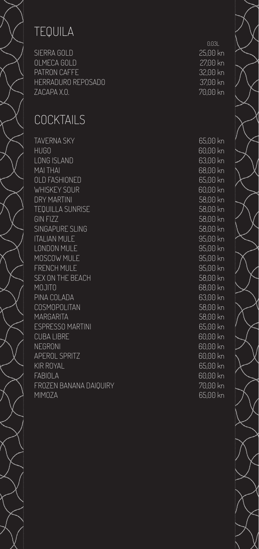# TEQUILA

SIERRA GOLD 25,00 kn OLMECA GOLD 27,00 kn PATRON CAFFE 32,00 kn HERRADURO REPOSADO 37,00 kn ZACAPA X.O. 70,00 kn

### COCKTAILS

TAVERNA SKY GOD CONTROL CONTROL CONTROL CONTROL CONTROL CONTROL CONTROL CONTROL CONTROL CONTROL CONTROL CONTROL CONTROL CONTROL CONTROL CONTROL CONTROL CONTROL CONTROL CONTROL CONTROL CONTROL CONTROL CONTROL CONTROL CONTRO HUGO 60,00 kn LONG ISLAND 63,00 kn MAI THAI 68,00 kn OLD FASHIONED GUN AND SOLD FASHIONED WHISKEY SOUR COMPANY CONTROL CONTROL CONTROL CONTROL CONTROL CONTROL CONTROL CONTROL CONTROL CONTROL CONTROL CONTROL CONTROL CONTROL CONTROL CONTROL CONTROL CONTROL CONTROL CONTROL CONTROL CONTROL CONTROL CONTROL CONTROL C DRY MARTINI 58,00 kn TEQUILLA SUNRISE SERVERSION NEWSFILM SOLONOMIC SERVERS SERVERS SERVERS SERVERS SERVERS SERVERS SERVERS SERVERS GIN FIZZ 58,00 kn SINGAPURE SLING 58,00 kn ITALIAN MULE 95,00 kn LONDON MULE 95,00 kn MOSCOW MULE NEWSLEY AND SERVICE SERVICES AND MOSCOW MULE FRENCH MULE SERVICE STRENGTH AND THE STRENGTH OF STRENGTH OF STRENGTH AND THE STRENGTH OF STRENGTH OF STRENGTH SEX ON THE BEACH 58,00 kn MOJITO 68,00 kn PINA COLADA 63,00 kn COSMOPOLITAN 58,00 kn MARGARITA 68,00 kn ESPRESSO MARTINI 65,00 kn CUBA LIBRE 60,00 kn NEGRONI COMPOSITION CONTROL CONTROL CONTROL CONTROL CONTROL CONTROL CONTROL CONTROL CONTROL CONTROL CONTROL CO APEROL SPRITZ 60,00 kn KIR ROYAL **65,00 kn** FABIOLA 60,00 kn FROZEN BANANA DAIQUIRY 70,00 kn MIMOZA 65,00 kn

0.03L